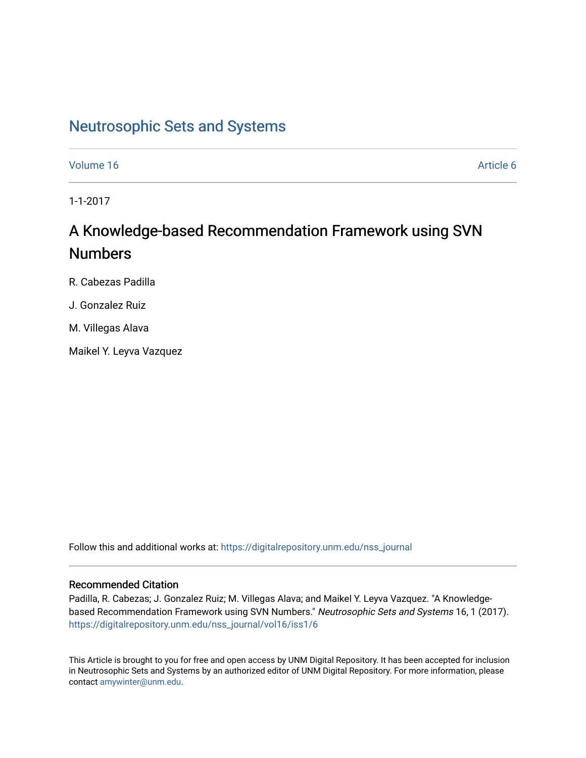## [Neutrosophic Sets and Systems](https://digitalrepository.unm.edu/nss_journal)

[Volume 16](https://digitalrepository.unm.edu/nss_journal/vol16) Article 6

1-1-2017

# A Knowledge-based Recommendation Framework using SVN Numbers

R. Cabezas Padilla

## J. Gonzalez Ruiz

M. Villegas Alava

Maikel Y. Leyva Vazquez

Follow this and additional works at: [https://digitalrepository.unm.edu/nss\\_journal](https://digitalrepository.unm.edu/nss_journal?utm_source=digitalrepository.unm.edu%2Fnss_journal%2Fvol16%2Fiss1%2F6&utm_medium=PDF&utm_campaign=PDFCoverPages) 

## Recommended Citation

Padilla, R. Cabezas; J. Gonzalez Ruiz; M. Villegas Alava; and Maikel Y. Leyva Vazquez. "A Knowledgebased Recommendation Framework using SVN Numbers." Neutrosophic Sets and Systems 16, 1 (2017). [https://digitalrepository.unm.edu/nss\\_journal/vol16/iss1/6](https://digitalrepository.unm.edu/nss_journal/vol16/iss1/6?utm_source=digitalrepository.unm.edu%2Fnss_journal%2Fvol16%2Fiss1%2F6&utm_medium=PDF&utm_campaign=PDFCoverPages)

This Article is brought to you for free and open access by UNM Digital Repository. It has been accepted for inclusion in Neutrosophic Sets and Systems by an authorized editor of UNM Digital Repository. For more information, please contact [amywinter@unm.edu](mailto:amywinter@unm.edu).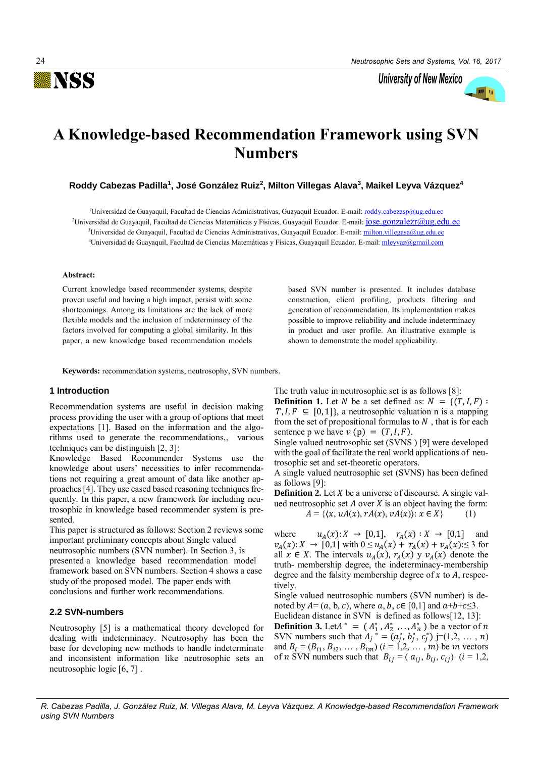University of New Mexico



## **A Knowledge-based Recommendation Framework using SVN Numbers**

**Roddy Cabezas Padilla<sup>1</sup> , José González Ruiz<sup>2</sup> , Milton Villegas Alava<sup>3</sup> , Maikel Leyva Vázquez<sup>4</sup>**

<sup>1</sup>Universidad de Guayaquil, Facultad de Ciencias Administrativas, Guayaquil Ecuador. E-mail: roddy.cabezasp@ug.edu.ec <sup>2</sup>Universidad de Guayaquil, Facultad de Ciencias Matemáticas y Físicas, Guayaquil Ecuador. E-mail: *[jose.gonzalezr@ug.edu](mailto:roddy.cabezasp@ug.edu.ec).ec* <sup>3</sup>Universidad de Guayaquil, Facultad de Ciencias Administrativas, Guayaquil Ecuador. E-mail: [milton.villegasa@ug.edu.ec](mailto:jose.gonzalezr@ug.edu.ec) <sup>4</sup>Universidad de Guayaquil, Facultad de Ciencias Matemáticas y Físicas, Guayaquil Ecuador. E[-mail: mleyvaz@gmail.com](mailto:milton.villegasa@ug.edu.ec)

#### **Abstract:**

Current knowledge based recommender systems, despite proven useful and having a high impact, persist with some shortcomings. Among its limitations are the lack of more flexible models and the inclusion of indeterminacy of the factors involved for computing a global similarity. In this paper, a new knowledge based recommendation models based SVN number is presented. It includes database construction, client profiling, products filtering and generation of recommendation. Its implementation makes possible to improve reliability and include indeterminacy in product and user profile. An illustrative example is shown to demonstrate the model applicability.

**Keywords:** recommendation systems, neutrosophy, SVN numbers.

### **1 Introduction**

Recommendation systems are useful in decision making process providing the user with a group of options that meet expectations [1]. Based on the information and the algorithms used to generate the recommendations,, various techniques can be distinguish [2, 3]:

Knowledge Based Recommender Systems use the knowledge about users' necessities to infer recommendations not requiring a great amount of data like another approaches [4]. They use cased based reasoning techniques frequently. In this paper, a new framework for including neutrosophic in knowledge based recommender system is presented.

This paper is structured as follows: Section 2 reviews some important preliminary concepts about Single valued neutrosophic numbers (SVN number). In Section 3, is presented a knowledge based recommendation model framework based on SVN numbers. Section 4 shows a case study of the proposed model. The paper ends with conclusions and further work recommendations.

## **2.2 SVN-numbers**

Neutrosophy [5] is a mathematical theory developed for dealing with indeterminacy. Neutrosophy has been the base for developing new methods to handle indeterminate and inconsistent information like neutrosophic sets an neutrosophic logic [6, 7] .

The truth value in neutrosophic set is as follows [8]:

**Definition 1.** Let N be a set defined as:  $N = \{(T, I, F) :$  $T, I, F \subseteq [0, 1]$ , a neutrosophic valuation n is a mapping from the set of propositional formulas to  $N$ , that is for each sentence p we have  $v(p) = (T, I, F)$ .

Single valued neutrosophic set (SVNS ) [9] were developed with the goal of facilitate the real world applications of neutrosophic set and set-theoretic operators.

A single valued neutrosophic set (SVNS) has been defined as follows [9]:

**Definition 2.** Let  $X$  be a universe of discourse. A single valued neutrosophic set  $A$  over  $X$  is an object having the form:  $A = \{(x, uA(x), rA(x), vA(x)) : x \in X\}$  (1)

where  $u_A(x): X \to [0,1], \quad r_A(x): X \to [0,1]$  and  $v_A(x): X \to [0,1]$  with  $0 \le u_A(x) + r_A(x) + v_A(x) \le 3$  for all  $x \in X$ . The intervals  $u_A(x)$ ,  $r_A(x)$  y  $v_A(x)$  denote the truth- membership degree, the indeterminacy-membership degree and the falsity membership degree of  $x$  to  $A$ , respectively.

Single valued neutrosophic numbers (SVN number) is denoted by  $A = (a, b, c)$ , where  $a, b, c \in [0, 1]$  and  $a+b+c \le 3$ .

Euclidean distance in SVN is defined as follows[12, 13]: **Definition 3.** LetA<sup>\*</sup> =  $(A_1^*, A_2^*, \ldots, A_n^*)$  be a vector of n SVN numbers such that  $A_j^* = (a_j^*, b_j^*, c_j^*)$  j=(1,2, ..., n) and  $B_i = (B_{i1}, B_{i2}, \dots, B_{im})$   $(i = 1, 2, \dots, m)$  be *m* vectors of *n* SVN numbers such that  $B_{ij} = (a_{ij}, b_{ij}, c_{ij})$  ( $i = 1,2,$ 

*R. Cabezas Padilla, J. González Ruiz, M. Villegas Alava, M. Leyva Vázquez. A Knowledge-based Recommendation Framework using SVN Numbers*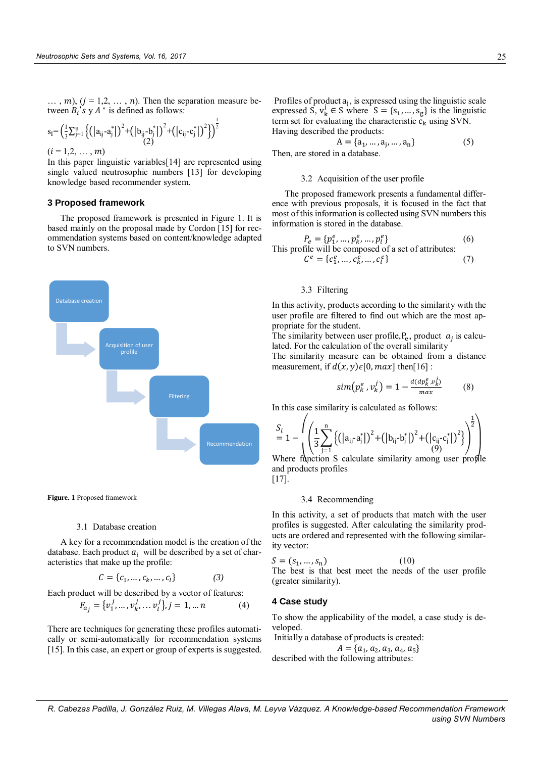$..., m$ ,  $(i = 1, 2, ..., n)$ . Then the separation measure between  $B_i$ 's y  $A^*$  is defined as follows:

$$
s_{I} = \left(\frac{1}{3}\sum_{j=1}^{n} \left\{ \left( |a_{ij} - a_{j}^{*}| \right)^{2} + \left( |b_{ij} - b_{j}^{*}| \right)^{2} + \left( |c_{ij} - c_{j}^{*}| \right)^{2} \right\} \right)^{\frac{1}{2}}
$$
  
(*i* = 1, 2, 2)

 $(i = 1, 2, ..., m)$ 

In this paper linguistic variables[14] are represented using single valued neutrosophic numbers [13] for developing knowledge based recommender system.

### **3 Proposed framework**

The proposed framework is presented in Figure 1. It is based mainly on the proposal made by Cordon [15] for recommendation systems based on content/knowledge adapted to SVN numbers.



**Figure. 1** Proposed framework

#### 3.1 Database creation

A key for a recommendation model is the creation of the database. Each product  $a_i$  will be described by a set of characteristics that make up the profile:

$$
C = \{c_1, \dots, c_k, \dots, c_l\} \tag{3}
$$

Each product will be described by a vector of features:

$$
F_{a_j} = \{v_1^j, \dots, v_k^j, \dots v_l^j\}, j = 1, \dots n \tag{4}
$$

There are techniques for generating these profiles automatically or semi-automatically for recommendation systems [15]. In this case, an expert or group of experts is suggested.

Profiles of product  $a_j$ , is expressed using the linguistic scale expressed  $S, v_k^j \in S$  where  $S = \{s_1, ..., s_g\}$  is the linguistic term set for evaluating the characteristic  $c_k$  using SVN. Having described the products:

 $A = \{a_1, ..., a_j, ..., a_n\}$  (5) Then, are stored in a database.

#### 3.2 Acquisition of the user profile

The proposed framework presents a fundamental difference with previous proposals, it is focused in the fact that most of this information is collected using SVN numbers this information is stored in the database.

$$
P_e = \{p_1^e, \dots, p_k^e, \dots, p_l^e\}
$$
  
This profile will be composed of a set of attributes:  

$$
C^e = \{c_1^e, \dots, c_k^e, \dots, c_l^e\}
$$
(7)

#### 3.3 Filtering

In this activity, products according to the similarity with the user profile are filtered to find out which are the most appropriate for the student.

The similarity between user profile,  $P_e$ , product  $a_j$  is calculated. For the calculation of the overall similarity

The similarity measure can be obtained from a distance measurement, if  $d(x, y) \in [0, max]$  then[16] :

$$
sim(p_k^e, v_k^j) = 1 - \frac{d(dp_k^e, v_k^j)}{max}
$$
 (8)

 $\Delta$ 

In this case similarity is calculated as follows:

$$
\sum_{i=1}^{S_i} 1 - \left( \left( \frac{1}{3} \sum_{j=1}^n \left\{ \left( |a_{ij} - a_j^*| \right)^2 + \left( |b_{ij} - b_j^*| \right)^2 + \left( |c_{ij} - c_j^*| \right)^2 \right\} \right)^{\frac{1}{2}} \right)
$$

Where function S calculate similarity among user profile and products profiles  $[17]$ .

#### 3.4 Recommending

In this activity, a set of products that match with the user profiles is suggested. After calculating the similarity products are ordered and represented with the following similarity vector:

$$
S = (s_1, ..., s_n)
$$
 (10)

The best is that best meet the needs of the user profile (greater similarity).

#### **4 Case study**

To show the applicability of the model, a case study is developed.

Initially a database of products is created:

 $A = \{a_1, a_2, a_3, a_4, a_5\}$ described with the following attributes: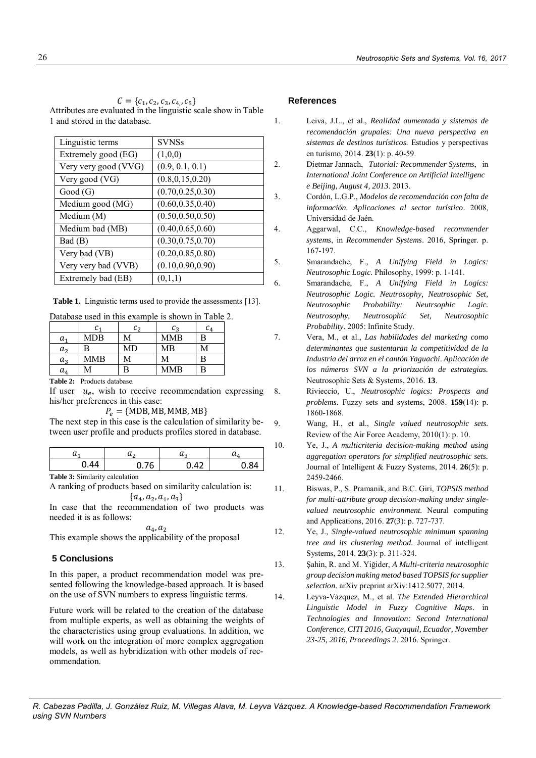$C = \{c_1, c_2, c_3, c_4, c_5\}$ Attributes are evaluated in the linguistic scale show in Table 1 and stored in the database.

| Linguistic terms     | <b>SVNSs</b>       |
|----------------------|--------------------|
| Extremely good (EG)  | (1,0,0)            |
| Very very good (VVG) | (0.9, 0.1, 0.1)    |
| Very good (VG)       | (0.8, 0.15, 0.20)  |
| Good(G)              | (0.70, 0.25, 0.30) |
| Medium good (MG)     | (0.60, 0.35, 0.40) |
| Medium (M)           | (0.50, 0.50, 0.50) |
| Medium bad (MB)      | (0.40, 0.65, 0.60) |
| Bad (B)              | (0.30, 0.75, 0.70) |
| Very bad (VB)        | (0.20, 0.85, 0.80) |
| Very very bad (VVB)  | (0.10, 0.90, 0.90) |
| Extremely bad (EB)   | (0,1,1)            |

**Table 1.** Linguistic terms used to provide the assessments [13].

Database used in this example is shown in Table 2.

|                | $c_{1}$ | C2 | $\mathcal{C}_2$ | $\mathcal{C}_{\mathit{4}}$ |
|----------------|---------|----|-----------------|----------------------------|
| $a_{1}$        | MDB     |    | MMB             |                            |
| a <sub>2</sub> | В       | MD | МB              |                            |
| $a_3$          | MMB     |    |                 |                            |
| $a_4$          |         |    | MMB             |                            |

**Table 2:** Products database.

If user  $u_e$ , wish to receive recommendation expressing his/her preferences in this case:

 $P_e = \{MDB, MB, MMB, MB\}$ 

The next step in this case is the calculation of similarity between user profile and products profiles stored in database.

| u | r       |           |                         |
|---|---------|-----------|-------------------------|
|   | 76<br>ັ | $\Lambda$ | $\sim$ $\sim$<br>- 97 1 |

**Table 3:** Similarity calculation

A ranking of products based on similarity calculation is:  ${a_4, a_2, a_1, a_3}$ 

In case that the recommendation of two products was needed it is as follows:

 $a<sub>4</sub>, a<sub>2</sub>$ 

This example shows the applicability of the proposal

## **5 Conclusions**

In this paper, a product recommendation model was presented following the knowledge-based approach. It is based on the use of SVN numbers to express linguistic terms.

Future work will be related to the creation of the database from multiple experts, as well as obtaining the weights of the characteristics using group evaluations. In addition, we will work on the integration of more complex aggregation models, as well as hybridization with other models of recommendation.

#### **References**

- 1. Leiva, J.L., et al., *Realidad aumentada y sistemas de recomendación grupales: Una nueva perspectiva en sistemas de destinos turísticos.* Estudios y perspectivas en turismo, 2014. **23**(1): p. 40-59.
- 2. Dietmar Jannach, *Tutorial: Recommender Systems*, in *International Joint Conference on Artificial Intelligenc e Beijing, August 4, 2013*. 2013.
- 3. Cordón, L.G.P., *Modelos de recomendación con falta de información. Aplicaciones al sector turístico*. 2008, Universidad de Jaén.
- 4. Aggarwal, C.C., *Knowledge-based recommender systems*, in *Recommender Systems*. 2016, Springer. p. 167-197.
- 5. Smarandache, F., *A Unifying Field in Logics: Neutrosophic Logic.* Philosophy, 1999: p. 1-141.
- 6. Smarandache, F., *A Unifying Field in Logics: Neutrosophic Logic. Neutrosophy, Neutrosophic Set, Neutrosophic Probability: Neutrsophic Logic. Neutrosophy, Neutrosophic Set, Neutrosophic Probability*. 2005: Infinite Study.
- 7. Vera, M., et al., *Las habilidades del marketing como determinantes que sustentaran la competitividad de la Industria del arroz en el cantón Yaguachi. Aplicación de los números SVN a la priorización de estrategias.* Neutrosophic Sets & Systems, 2016. **13**.
- 8. Rivieccio, U., *Neutrosophic logics: Prospects and problems.* Fuzzy sets and systems, 2008. **159**(14): p. 1860-1868.
- 9. Wang, H., et al., *Single valued neutrosophic sets.* Review of the Air Force Academy, 2010(1): p. 10.
- 10. Ye, J., *A multicriteria decision-making method using aggregation operators for simplified neutrosophic sets.* Journal of Intelligent & Fuzzy Systems, 2014. **26**(5): p. 2459-2466.
- 11. Biswas, P., S. Pramanik, and B.C. Giri, *TOPSIS method for multi-attribute group decision-making under singlevalued neutrosophic environment.* Neural computing and Applications, 2016. **27**(3): p. 727-737.
- 12. Ye, J., *Single-valued neutrosophic minimum spanning tree and its clustering method.* Journal of intelligent Systems, 2014. **23**(3): p. 311-324.
- 13. Şahin, R. and M. Yiğider, *A Multi-criteria neutrosophic group decision making metod based TOPSIS for supplier selection.* arXiv preprint arXiv:1412.5077, 2014.
- 14. Leyva-Vázquez, M., et al. *The Extended Hierarchical Linguistic Model in Fuzzy Cognitive Maps*. in *Technologies and Innovation: Second International Conference, CITI 2016, Guayaquil, Ecuador, November 23-25, 2016, Proceedings 2*. 2016. Springer.

*R. Cabezas Padilla, J. González Ruiz, M. Villegas Alava, M. Leyva Vázquez. A Knowledge-based Recommendation Framework using SVN Numbers*